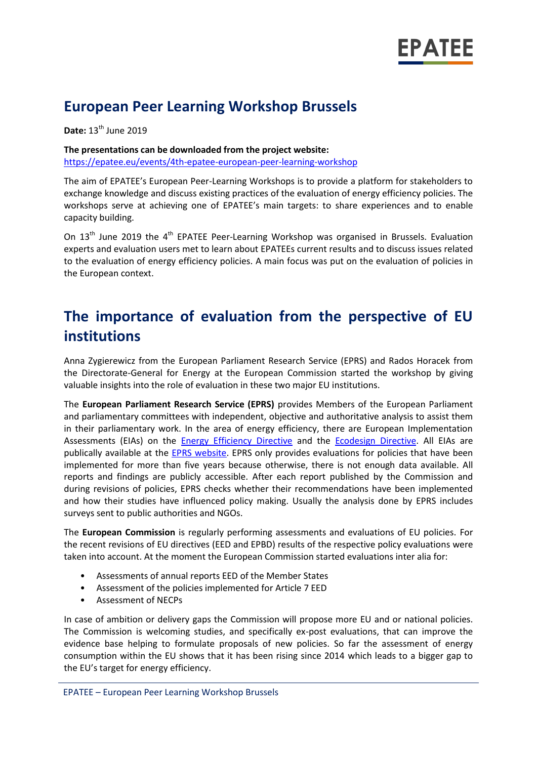

## **European Peer Learning Workshop Brussels**

**Date:** 13th June 2019

**The presentations can be downloaded from the project website:**

<https://epatee.eu/events/4th-epatee-european-peer-learning-workshop>

The aim of EPATEE's European Peer-Learning Workshops is to provide a platform for stakeholders to exchange knowledge and discuss existing practices of the evaluation of energy efficiency policies. The workshops serve at achieving one of EPATEE's main targets: to share experiences and to enable capacity building.

On  $13<sup>th</sup>$  June 2019 the 4<sup>th</sup> EPATEE Peer-Learning Workshop was organised in Brussels. Evaluation experts and evaluation users met to learn about EPATEEs current results and to discuss issues related to the evaluation of energy efficiency policies. A main focus was put on the evaluation of policies in the European context.

# **The importance of evaluation from the perspective of EU institutions**

Anna Zygierewicz from the European Parliament Research Service (EPRS) and Rados Horacek from the Directorate-General for Energy at the European Commission started the workshop by giving valuable insights into the role of evaluation in these two major EU institutions.

The **European Parliament Research Service (EPRS)** provides Members of the European Parliament and parliamentary committees with independent, objective and authoritative analysis to assist them in their parliamentary work. In the area of energy efficiency, there are European Implementation Assessments (EIAs) on the [Energy Efficiency Directive](http://www.europarl.europa.eu/RegData/etudes/STUD/2016/579327/EPRS_STU(2016)579327_EN.pdf) and the [Ecodesign Directive.](http://www.europarl.europa.eu/RegData/etudes/STUD/2017/611015/EPRS_STU(2017)611015_EN.pdf) All EIAs are publically available at the **EPRS website**. EPRS only provides evaluations for policies that have been implemented for more than five years because otherwise, there is not enough data available. All reports and findings are publicly accessible. After each report published by the Commission and during revisions of policies, EPRS checks whether their recommendations have been implemented and how their studies have influenced policy making. Usually the analysis done by EPRS includes surveys sent to public authorities and NGOs.

The **European Commission** is regularly performing assessments and evaluations of EU policies. For the recent revisions of EU directives (EED and EPBD) results of the respective policy evaluations were taken into account. At the moment the European Commission started evaluations inter alia for:

- Assessments of annual reports EED of the Member States
- Assessment of the policies implemented for Article 7 EED
- Assessment of NECPs

In case of ambition or delivery gaps the Commission will propose more EU and or national policies. The Commission is welcoming studies, and specifically ex-post evaluations, that can improve the evidence base helping to formulate proposals of new policies. So far the assessment of energy consumption within the EU shows that it has been rising since 2014 which leads to a bigger gap to the EU's target for energy efficiency.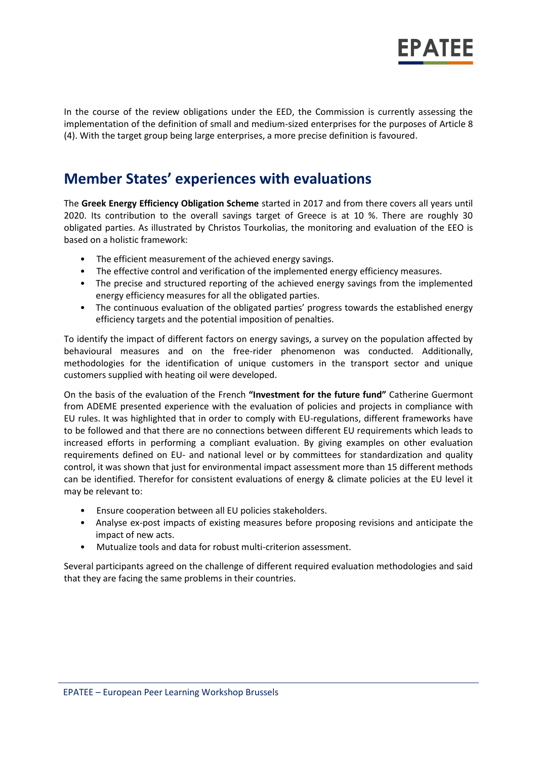

In the course of the review obligations under the EED, the Commission is currently assessing the implementation of the definition of small and medium-sized enterprises for the purposes of Article 8 (4). With the target group being large enterprises, a more precise definition is favoured.

### **Member States' experiences with evaluations**

The **Greek Energy Efficiency Obligation Scheme** started in 2017 and from there covers all years until 2020. Its contribution to the overall savings target of Greece is at 10 %. There are roughly 30 obligated parties. As illustrated by Christos Tourkolias, the monitoring and evaluation of the EEO is based on a holistic framework:

- The efficient measurement of the achieved energy savings.
- The effective control and verification of the implemented energy efficiency measures.
- The precise and structured reporting of the achieved energy savings from the implemented energy efficiency measures for all the obligated parties.
- The continuous evaluation of the obligated parties' progress towards the established energy efficiency targets and the potential imposition of penalties.

To identify the impact of different factors on energy savings, a survey on the population affected by behavioural measures and on the free-rider phenomenon was conducted. Additionally, methodologies for the identification of unique customers in the transport sector and unique customers supplied with heating oil were developed.

On the basis of the evaluation of the French **"Investment for the future fund"** Catherine Guermont from ADEME presented experience with the evaluation of policies and projects in compliance with EU rules. It was highlighted that in order to comply with EU-regulations, different frameworks have to be followed and that there are no connections between different EU requirements which leads to increased efforts in performing a compliant evaluation. By giving examples on other evaluation requirements defined on EU- and national level or by committees for standardization and quality control, it was shown that just for environmental impact assessment more than 15 different methods can be identified. Therefor for consistent evaluations of energy & climate policies at the EU level it may be relevant to:

- Ensure cooperation between all EU policies stakeholders.
- Analyse ex-post impacts of existing measures before proposing revisions and anticipate the impact of new acts.
- Mutualize tools and data for robust multi-criterion assessment.

Several participants agreed on the challenge of different required evaluation methodologies and said that they are facing the same problems in their countries.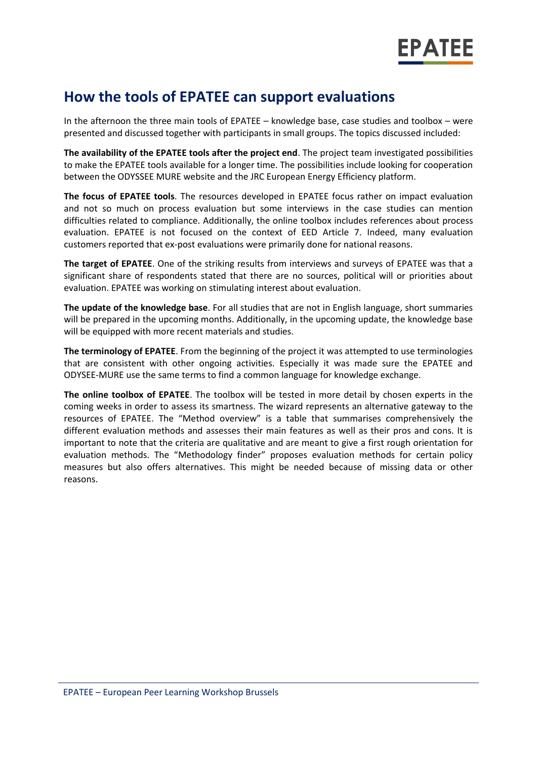

## **How the tools of EPATEE can support evaluations**

In the afternoon the three main tools of EPATEE – knowledge base, case studies and toolbox – were presented and discussed together with participants in small groups. The topics discussed included:

**The availability of the EPATEE tools after the project end**. The project team investigated possibilities to make the EPATEE tools available for a longer time. The possibilities include looking for cooperation between the ODYSSEE MURE website and the JRC European Energy Efficiency platform.

**The focus of EPATEE tools**. The resources developed in EPATEE focus rather on impact evaluation and not so much on process evaluation but some interviews in the case studies can mention difficulties related to compliance. Additionally, the online toolbox includes references about process evaluation. EPATEE is not focused on the context of EED Article 7. Indeed, many evaluation customers reported that ex-post evaluations were primarily done for national reasons.

**The target of EPATEE**. One of the striking results from interviews and surveys of EPATEE was that a significant share of respondents stated that there are no sources, political will or priorities about evaluation. EPATEE was working on stimulating interest about evaluation.

**The update of the knowledge base**. For all studies that are not in English language, short summaries will be prepared in the upcoming months. Additionally, in the upcoming update, the knowledge base will be equipped with more recent materials and studies.

**The terminology of EPATEE**. From the beginning of the project it was attempted to use terminologies that are consistent with other ongoing activities. Especially it was made sure the EPATEE and ODYSEE-MURE use the same terms to find a common language for knowledge exchange.

**The online toolbox of EPATEE**. The toolbox will be tested in more detail by chosen experts in the coming weeks in order to assess its smartness. The wizard represents an alternative gateway to the resources of EPATEE. The "Method overview" is a table that summarises comprehensively the different evaluation methods and assesses their main features as well as their pros and cons. It is important to note that the criteria are qualitative and are meant to give a first rough orientation for evaluation methods. The "Methodology finder" proposes evaluation methods for certain policy measures but also offers alternatives. This might be needed because of missing data or other reasons.